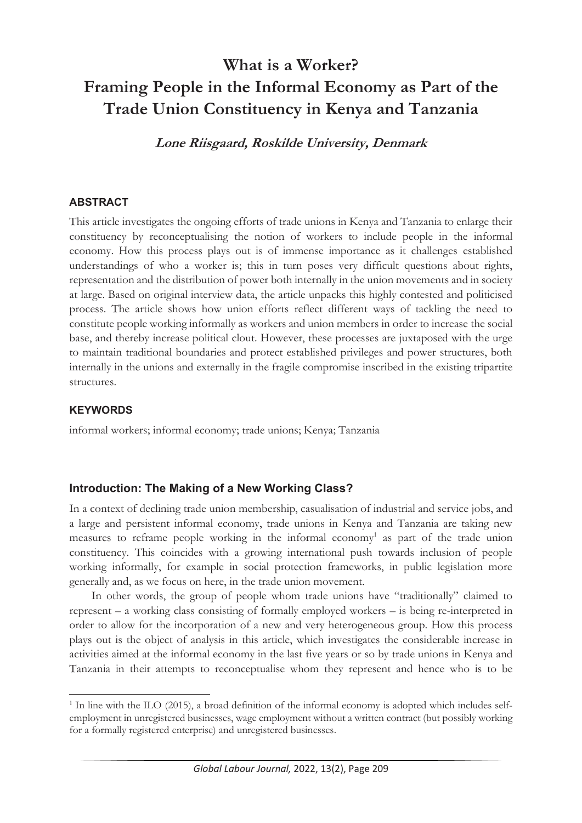# **What is a Worker? Framing People in the Informal Economy as Part of the Trade Union Constituency in Kenya and Tanzania**

**Lone Riisgaard, Roskilde University, Denmark** 

## **ABSTRACT**

This article investigates the ongoing efforts of trade unions in Kenya and Tanzania to enlarge their constituency by reconceptualising the notion of workers to include people in the informal economy. How this process plays out is of immense importance as it challenges established understandings of who a worker is; this in turn poses very difficult questions about rights, representation and the distribution of power both internally in the union movements and in society at large. Based on original interview data, the article unpacks this highly contested and politicised process. The article shows how union efforts reflect different ways of tackling the need to constitute people working informally as workers and union members in order to increase the social base, and thereby increase political clout. However, these processes are juxtaposed with the urge to maintain traditional boundaries and protect established privileges and power structures, both internally in the unions and externally in the fragile compromise inscribed in the existing tripartite structures.

#### **KEYWORDS**

informal workers; informal economy; trade unions; Kenya; Tanzania

## **Introduction: The Making of a New Working Class?**

In a context of declining trade union membership, casualisation of industrial and service jobs, and a large and persistent informal economy, trade unions in Kenya and Tanzania are taking new measures to reframe people working in the informal economy<sup>1</sup> as part of the trade union constituency. This coincides with a growing international push towards inclusion of people working informally, for example in social protection frameworks, in public legislation more generally and, as we focus on here, in the trade union movement.

In other words, the group of people whom trade unions have "traditionally" claimed to represent – a working class consisting of formally employed workers – is being re-interpreted in order to allow for the incorporation of a new and very heterogeneous group. How this process plays out is the object of analysis in this article, which investigates the considerable increase in activities aimed at the informal economy in the last five years or so by trade unions in Kenya and Tanzania in their attempts to reconceptualise whom they represent and hence who is to be

 $1$  In line with the ILO (2015), a broad definition of the informal economy is adopted which includes selfemployment in unregistered businesses, wage employment without a written contract (but possibly working for a formally registered enterprise) and unregistered businesses.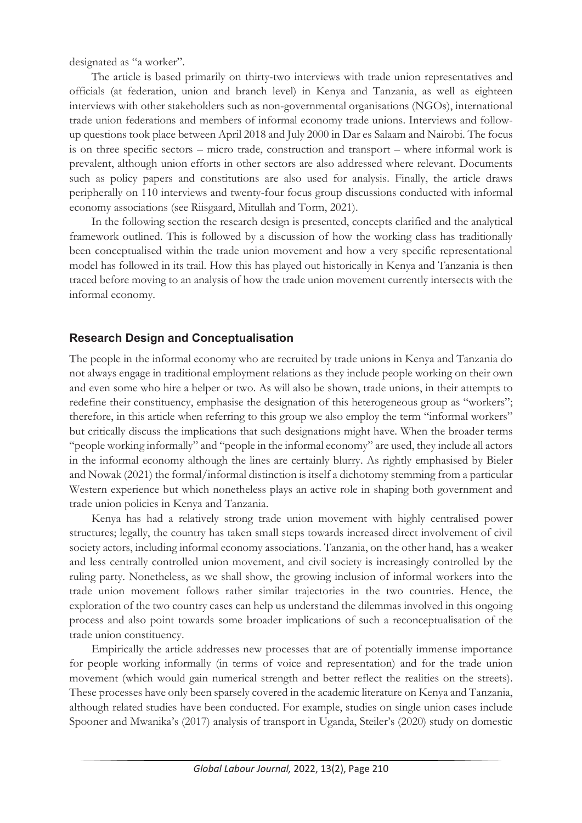designated as "a worker".

The article is based primarily on thirty-two interviews with trade union representatives and officials (at federation, union and branch level) in Kenya and Tanzania, as well as eighteen interviews with other stakeholders such as non-governmental organisations (NGOs), international trade union federations and members of informal economy trade unions. Interviews and followup questions took place between April 2018 and July 2000 in Dar es Salaam and Nairobi. The focus is on three specific sectors – micro trade, construction and transport – where informal work is prevalent, although union efforts in other sectors are also addressed where relevant. Documents such as policy papers and constitutions are also used for analysis. Finally, the article draws peripherally on 110 interviews and twenty-four focus group discussions conducted with informal economy associations (see Riisgaard, Mitullah and Torm, 2021).

In the following section the research design is presented, concepts clarified and the analytical framework outlined. This is followed by a discussion of how the working class has traditionally been conceptualised within the trade union movement and how a very specific representational model has followed in its trail. How this has played out historically in Kenya and Tanzania is then traced before moving to an analysis of how the trade union movement currently intersects with the informal economy.

# **Research Design and Conceptualisation**

The people in the informal economy who are recruited by trade unions in Kenya and Tanzania do not always engage in traditional employment relations as they include people working on their own and even some who hire a helper or two. As will also be shown, trade unions, in their attempts to redefine their constituency, emphasise the designation of this heterogeneous group as "workers"; therefore, in this article when referring to this group we also employ the term "informal workers" but critically discuss the implications that such designations might have. When the broader terms "people working informally" and "people in the informal economy" are used, they include all actors in the informal economy although the lines are certainly blurry. As rightly emphasised by Bieler and Nowak (2021) the formal/informal distinction is itself a dichotomy stemming from a particular Western experience but which nonetheless plays an active role in shaping both government and trade union policies in Kenya and Tanzania.

Kenya has had a relatively strong trade union movement with highly centralised power structures; legally, the country has taken small steps towards increased direct involvement of civil society actors, including informal economy associations. Tanzania, on the other hand, has a weaker and less centrally controlled union movement, and civil society is increasingly controlled by the ruling party. Nonetheless, as we shall show, the growing inclusion of informal workers into the trade union movement follows rather similar trajectories in the two countries. Hence, the exploration of the two country cases can help us understand the dilemmas involved in this ongoing process and also point towards some broader implications of such a reconceptualisation of the trade union constituency.

Empirically the article addresses new processes that are of potentially immense importance for people working informally (in terms of voice and representation) and for the trade union movement (which would gain numerical strength and better reflect the realities on the streets). These processes have only been sparsely covered in the academic literature on Kenya and Tanzania, although related studies have been conducted. For example, studies on single union cases include Spooner and Mwanika's (2017) analysis of transport in Uganda, Steiler's (2020) study on domestic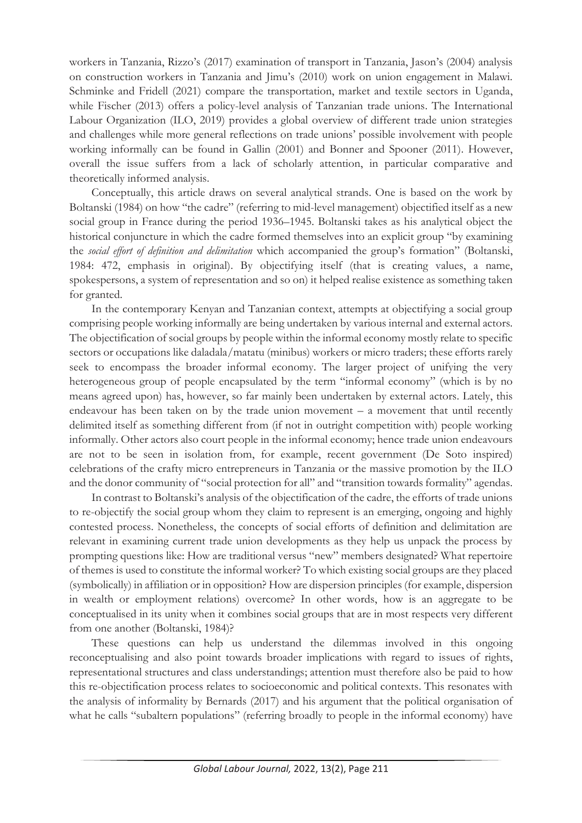workers in Tanzania, Rizzo's (2017) examination of transport in Tanzania, Jason's (2004) analysis on construction workers in Tanzania and Jimu's (2010) work on union engagement in Malawi. Schminke and Fridell (2021) compare the transportation, market and textile sectors in Uganda, while Fischer (2013) offers a policy-level analysis of Tanzanian trade unions. The International Labour Organization (ILO, 2019) provides a global overview of different trade union strategies and challenges while more general reflections on trade unions' possible involvement with people working informally can be found in Gallin (2001) and Bonner and Spooner (2011). However, overall the issue suffers from a lack of scholarly attention, in particular comparative and theoretically informed analysis.

Conceptually, this article draws on several analytical strands. One is based on the work by Boltanski (1984) on how "the cadre" (referring to mid-level management) objectified itself as a new social group in France during the period 1936–1945. Boltanski takes as his analytical object the historical conjuncture in which the cadre formed themselves into an explicit group "by examining the *social effort of definition and delimitation* which accompanied the group's formation" (Boltanski, 1984: 472, emphasis in original). By objectifying itself (that is creating values, a name, spokespersons, a system of representation and so on) it helped realise existence as something taken for granted.

In the contemporary Kenyan and Tanzanian context, attempts at objectifying a social group comprising people working informally are being undertaken by various internal and external actors. The objectification of social groups by people within the informal economy mostly relate to specific sectors or occupations like daladala/matatu (minibus) workers or micro traders; these efforts rarely seek to encompass the broader informal economy. The larger project of unifying the very heterogeneous group of people encapsulated by the term "informal economy" (which is by no means agreed upon) has, however, so far mainly been undertaken by external actors. Lately, this endeavour has been taken on by the trade union movement – a movement that until recently delimited itself as something different from (if not in outright competition with) people working informally. Other actors also court people in the informal economy; hence trade union endeavours are not to be seen in isolation from, for example, recent government (De Soto inspired) celebrations of the crafty micro entrepreneurs in Tanzania or the massive promotion by the ILO and the donor community of "social protection for all" and "transition towards formality" agendas.

In contrast to Boltanski's analysis of the objectification of the cadre, the efforts of trade unions to re-objectify the social group whom they claim to represent is an emerging, ongoing and highly contested process. Nonetheless, the concepts of social efforts of definition and delimitation are relevant in examining current trade union developments as they help us unpack the process by prompting questions like: How are traditional versus "new" members designated? What repertoire of themes is used to constitute the informal worker? To which existing social groups are they placed (symbolically) in affiliation or in opposition? How are dispersion principles (for example, dispersion in wealth or employment relations) overcome? In other words, how is an aggregate to be conceptualised in its unity when it combines social groups that are in most respects very different from one another (Boltanski, 1984)?

These questions can help us understand the dilemmas involved in this ongoing reconceptualising and also point towards broader implications with regard to issues of rights, representational structures and class understandings; attention must therefore also be paid to how this re-objectification process relates to socioeconomic and political contexts. This resonates with the analysis of informality by Bernards (2017) and his argument that the political organisation of what he calls "subaltern populations" (referring broadly to people in the informal economy) have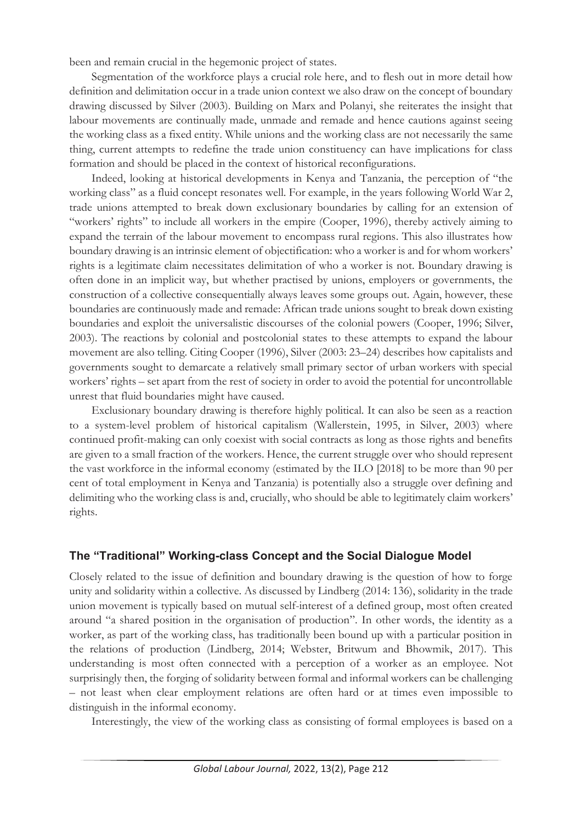been and remain crucial in the hegemonic project of states.

Segmentation of the workforce plays a crucial role here, and to flesh out in more detail how definition and delimitation occur in a trade union context we also draw on the concept of boundary drawing discussed by Silver (2003). Building on Marx and Polanyi, she reiterates the insight that labour movements are continually made, unmade and remade and hence cautions against seeing the working class as a fixed entity. While unions and the working class are not necessarily the same thing, current attempts to redefine the trade union constituency can have implications for class formation and should be placed in the context of historical reconfigurations.

Indeed, looking at historical developments in Kenya and Tanzania, the perception of "the working class" as a fluid concept resonates well. For example, in the years following World War 2, trade unions attempted to break down exclusionary boundaries by calling for an extension of "workers' rights" to include all workers in the empire (Cooper, 1996), thereby actively aiming to expand the terrain of the labour movement to encompass rural regions. This also illustrates how boundary drawing is an intrinsic element of objectification: who a worker is and for whom workers' rights is a legitimate claim necessitates delimitation of who a worker is not. Boundary drawing is often done in an implicit way, but whether practised by unions, employers or governments, the construction of a collective consequentially always leaves some groups out. Again, however, these boundaries are continuously made and remade: African trade unions sought to break down existing boundaries and exploit the universalistic discourses of the colonial powers (Cooper, 1996; Silver, 2003). The reactions by colonial and postcolonial states to these attempts to expand the labour movement are also telling. Citing Cooper (1996), Silver (2003: 23–24) describes how capitalists and governments sought to demarcate a relatively small primary sector of urban workers with special workers' rights – set apart from the rest of society in order to avoid the potential for uncontrollable unrest that fluid boundaries might have caused.

Exclusionary boundary drawing is therefore highly political. It can also be seen as a reaction to a system-level problem of historical capitalism (Wallerstein, 1995, in Silver, 2003) where continued profit-making can only coexist with social contracts as long as those rights and benefits are given to a small fraction of the workers. Hence, the current struggle over who should represent the vast workforce in the informal economy (estimated by the ILO [2018] to be more than 90 per cent of total employment in Kenya and Tanzania) is potentially also a struggle over defining and delimiting who the working class is and, crucially, who should be able to legitimately claim workers' rights.

# **The "Traditional" Working-class Concept and the Social Dialogue Model**

Closely related to the issue of definition and boundary drawing is the question of how to forge unity and solidarity within a collective. As discussed by Lindberg (2014: 136), solidarity in the trade union movement is typically based on mutual self-interest of a defined group, most often created around "a shared position in the organisation of production". In other words, the identity as a worker, as part of the working class, has traditionally been bound up with a particular position in the relations of production (Lindberg, 2014; Webster, Britwum and Bhowmik, 2017). This understanding is most often connected with a perception of a worker as an employee. Not surprisingly then, the forging of solidarity between formal and informal workers can be challenging – not least when clear employment relations are often hard or at times even impossible to distinguish in the informal economy.

Interestingly, the view of the working class as consisting of formal employees is based on a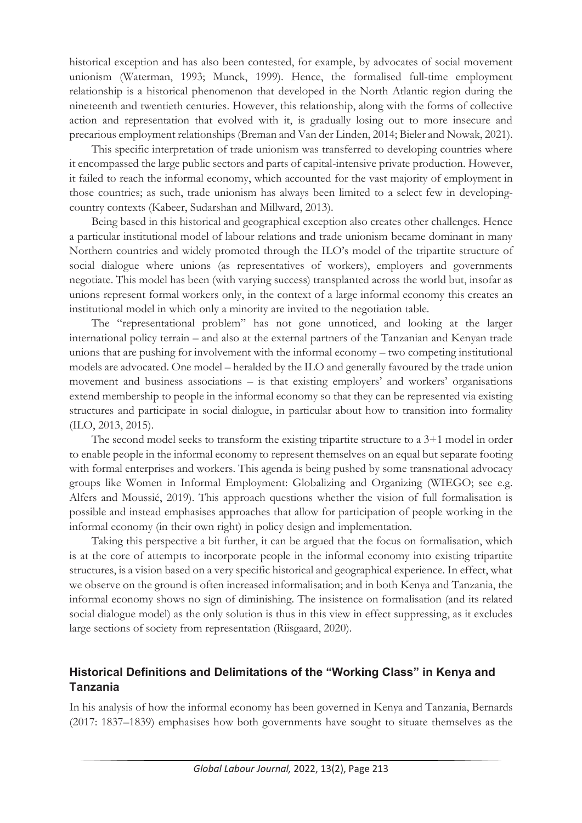historical exception and has also been contested, for example, by advocates of social movement unionism (Waterman, 1993; Munck, 1999). Hence, the formalised full-time employment relationship is a historical phenomenon that developed in the North Atlantic region during the nineteenth and twentieth centuries. However, this relationship, along with the forms of collective action and representation that evolved with it, is gradually losing out to more insecure and precarious employment relationships (Breman and Van der Linden, 2014; Bieler and Nowak, 2021).

This specific interpretation of trade unionism was transferred to developing countries where it encompassed the large public sectors and parts of capital-intensive private production. However, it failed to reach the informal economy, which accounted for the vast majority of employment in those countries; as such, trade unionism has always been limited to a select few in developingcountry contexts (Kabeer, Sudarshan and Millward, 2013).

Being based in this historical and geographical exception also creates other challenges. Hence a particular institutional model of labour relations and trade unionism became dominant in many Northern countries and widely promoted through the ILO's model of the tripartite structure of social dialogue where unions (as representatives of workers), employers and governments negotiate. This model has been (with varying success) transplanted across the world but, insofar as unions represent formal workers only, in the context of a large informal economy this creates an institutional model in which only a minority are invited to the negotiation table.

The "representational problem" has not gone unnoticed, and looking at the larger international policy terrain – and also at the external partners of the Tanzanian and Kenyan trade unions that are pushing for involvement with the informal economy – two competing institutional models are advocated. One model – heralded by the ILO and generally favoured by the trade union movement and business associations – is that existing employers' and workers' organisations extend membership to people in the informal economy so that they can be represented via existing structures and participate in social dialogue, in particular about how to transition into formality (ILO, 2013, 2015).

The second model seeks to transform the existing tripartite structure to a 3+1 model in order to enable people in the informal economy to represent themselves on an equal but separate footing with formal enterprises and workers. This agenda is being pushed by some transnational advocacy groups like Women in Informal Employment: Globalizing and Organizing (WIEGO; see e.g. Alfers and Moussié, 2019). This approach questions whether the vision of full formalisation is possible and instead emphasises approaches that allow for participation of people working in the informal economy (in their own right) in policy design and implementation.

Taking this perspective a bit further, it can be argued that the focus on formalisation, which is at the core of attempts to incorporate people in the informal economy into existing tripartite structures, is a vision based on a very specific historical and geographical experience. In effect, what we observe on the ground is often increased informalisation; and in both Kenya and Tanzania, the informal economy shows no sign of diminishing. The insistence on formalisation (and its related social dialogue model) as the only solution is thus in this view in effect suppressing, as it excludes large sections of society from representation (Riisgaard, 2020).

# **Historical Definitions and Delimitations of the "Working Class" in Kenya and Tanzania**

In his analysis of how the informal economy has been governed in Kenya and Tanzania, Bernards (2017: 1837–1839) emphasises how both governments have sought to situate themselves as the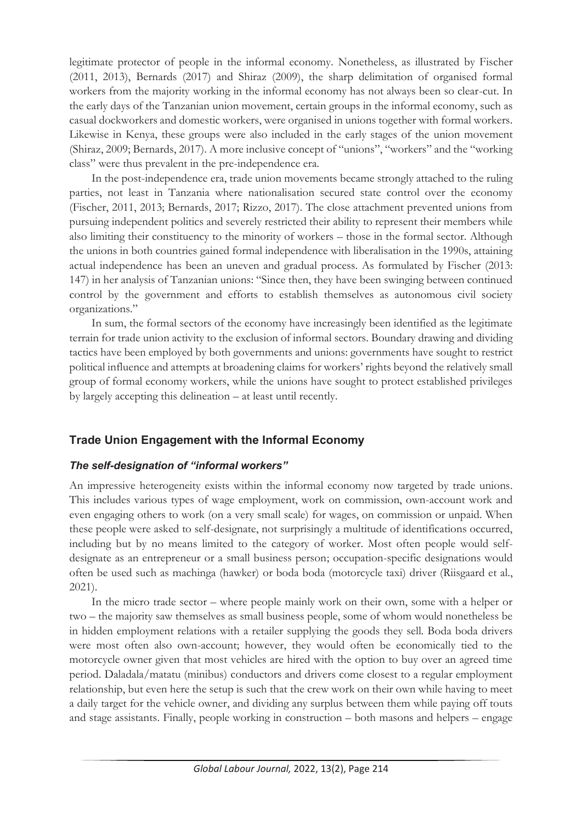legitimate protector of people in the informal economy. Nonetheless, as illustrated by Fischer (2011, 2013), Bernards (2017) and Shiraz (2009), the sharp delimitation of organised formal workers from the majority working in the informal economy has not always been so clear-cut. In the early days of the Tanzanian union movement, certain groups in the informal economy, such as casual dockworkers and domestic workers, were organised in unions together with formal workers. Likewise in Kenya, these groups were also included in the early stages of the union movement (Shiraz, 2009; Bernards, 2017). A more inclusive concept of "unions", "workers" and the "working class" were thus prevalent in the pre-independence era.

In the post-independence era, trade union movements became strongly attached to the ruling parties, not least in Tanzania where nationalisation secured state control over the economy (Fischer, 2011, 2013; Bernards, 2017; Rizzo, 2017). The close attachment prevented unions from pursuing independent politics and severely restricted their ability to represent their members while also limiting their constituency to the minority of workers – those in the formal sector. Although the unions in both countries gained formal independence with liberalisation in the 1990s, attaining actual independence has been an uneven and gradual process. As formulated by Fischer (2013: 147) in her analysis of Tanzanian unions: "Since then, they have been swinging between continued control by the government and efforts to establish themselves as autonomous civil society organizations."

In sum, the formal sectors of the economy have increasingly been identified as the legitimate terrain for trade union activity to the exclusion of informal sectors. Boundary drawing and dividing tactics have been employed by both governments and unions: governments have sought to restrict political influence and attempts at broadening claims for workers' rights beyond the relatively small group of formal economy workers, while the unions have sought to protect established privileges by largely accepting this delineation – at least until recently.

# **Trade Union Engagement with the Informal Economy**

## *The self-designation of "informal workers"*

An impressive heterogeneity exists within the informal economy now targeted by trade unions. This includes various types of wage employment, work on commission, own-account work and even engaging others to work (on a very small scale) for wages, on commission or unpaid. When these people were asked to self-designate, not surprisingly a multitude of identifications occurred, including but by no means limited to the category of worker. Most often people would selfdesignate as an entrepreneur or a small business person; occupation-specific designations would often be used such as machinga (hawker) or boda boda (motorcycle taxi) driver (Riisgaard et al., 2021).

In the micro trade sector – where people mainly work on their own, some with a helper or two – the majority saw themselves as small business people, some of whom would nonetheless be in hidden employment relations with a retailer supplying the goods they sell. Boda boda drivers were most often also own-account; however, they would often be economically tied to the motorcycle owner given that most vehicles are hired with the option to buy over an agreed time period. Daladala/matatu (minibus) conductors and drivers come closest to a regular employment relationship, but even here the setup is such that the crew work on their own while having to meet a daily target for the vehicle owner, and dividing any surplus between them while paying off touts and stage assistants. Finally, people working in construction – both masons and helpers – engage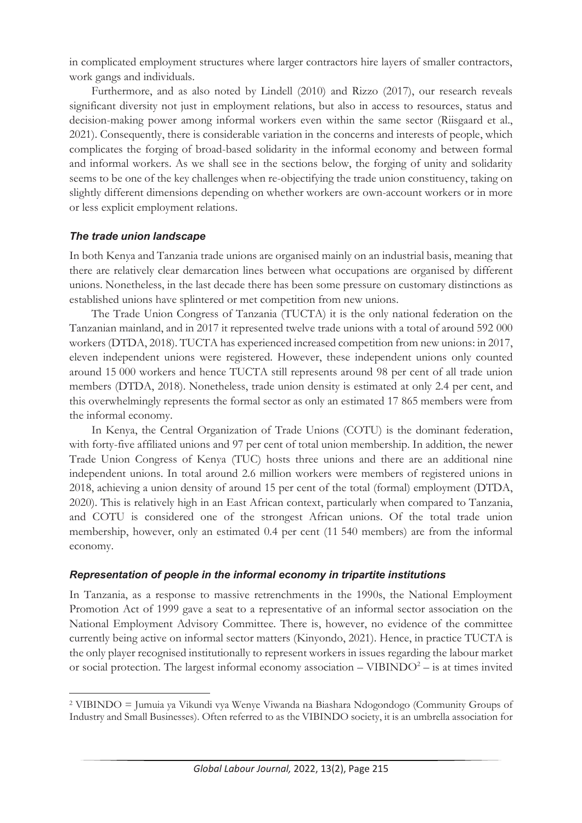in complicated employment structures where larger contractors hire layers of smaller contractors, work gangs and individuals.

Furthermore, and as also noted by Lindell (2010) and Rizzo (2017), our research reveals significant diversity not just in employment relations, but also in access to resources, status and decision-making power among informal workers even within the same sector (Riisgaard et al., 2021). Consequently, there is considerable variation in the concerns and interests of people, which complicates the forging of broad-based solidarity in the informal economy and between formal and informal workers. As we shall see in the sections below, the forging of unity and solidarity seems to be one of the key challenges when re-objectifying the trade union constituency, taking on slightly different dimensions depending on whether workers are own-account workers or in more or less explicit employment relations.

#### *The trade union landscape*

In both Kenya and Tanzania trade unions are organised mainly on an industrial basis, meaning that there are relatively clear demarcation lines between what occupations are organised by different unions. Nonetheless, in the last decade there has been some pressure on customary distinctions as established unions have splintered or met competition from new unions.

The Trade Union Congress of Tanzania (TUCTA) it is the only national federation on the Tanzanian mainland, and in 2017 it represented twelve trade unions with a total of around 592 000 workers (DTDA, 2018). TUCTA has experienced increased competition from new unions: in 2017, eleven independent unions were registered. However, these independent unions only counted around 15 000 workers and hence TUCTA still represents around 98 per cent of all trade union members (DTDA, 2018). Nonetheless, trade union density is estimated at only 2.4 per cent, and this overwhelmingly represents the formal sector as only an estimated 17 865 members were from the informal economy.

In Kenya, the Central Organization of Trade Unions (COTU) is the dominant federation, with forty-five affiliated unions and 97 per cent of total union membership. In addition, the newer Trade Union Congress of Kenya (TUC) hosts three unions and there are an additional nine independent unions. In total around 2.6 million workers were members of registered unions in 2018, achieving a union density of around 15 per cent of the total (formal) employment (DTDA, 2020). This is relatively high in an East African context, particularly when compared to Tanzania, and COTU is considered one of the strongest African unions. Of the total trade union membership, however, only an estimated 0.4 per cent (11 540 members) are from the informal economy.

#### *Representation of people in the informal economy in tripartite institutions*

In Tanzania, as a response to massive retrenchments in the 1990s, the National Employment Promotion Act of 1999 gave a seat to a representative of an informal sector association on the National Employment Advisory Committee. There is, however, no evidence of the committee currently being active on informal sector matters (Kinyondo, 2021). Hence, in practice TUCTA is the only player recognised institutionally to represent workers in issues regarding the labour market or social protection. The largest informal economy association  $-$  VIBINDO<sup>2</sup>  $-$  is at times invited

<sup>2</sup> VIBINDO = Jumuia ya Vikundi vya Wenye Viwanda na Biashara Ndogondogo (Community Groups of Industry and Small Businesses). Often referred to as the VIBINDO society, it is an umbrella association for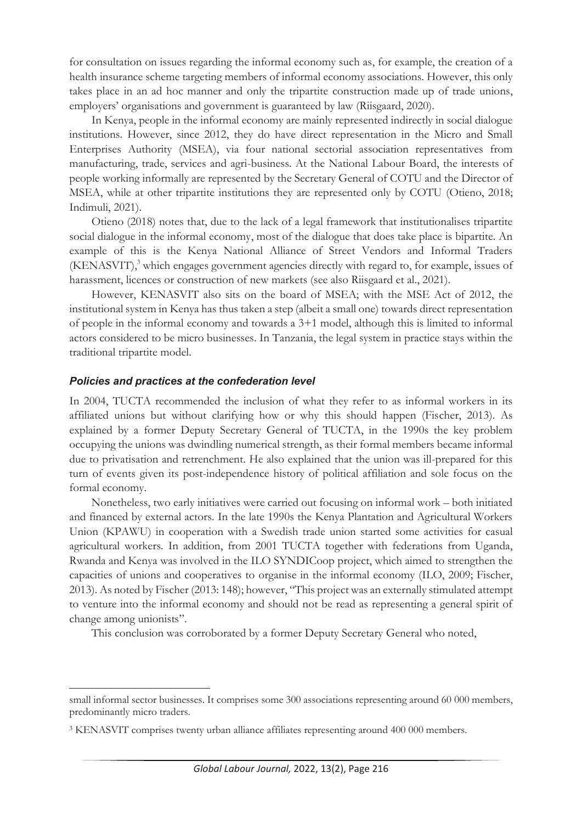for consultation on issues regarding the informal economy such as, for example, the creation of a health insurance scheme targeting members of informal economy associations. However, this only takes place in an ad hoc manner and only the tripartite construction made up of trade unions, employers' organisations and government is guaranteed by law (Riisgaard, 2020).

In Kenya, people in the informal economy are mainly represented indirectly in social dialogue institutions. However, since 2012, they do have direct representation in the Micro and Small Enterprises Authority (MSEA), via four national sectorial association representatives from manufacturing, trade, services and agri-business. At the National Labour Board, the interests of people working informally are represented by the Secretary General of COTU and the Director of MSEA, while at other tripartite institutions they are represented only by COTU (Otieno, 2018; Indimuli, 2021).

Otieno (2018) notes that, due to the lack of a legal framework that institutionalises tripartite social dialogue in the informal economy, most of the dialogue that does take place is bipartite. An example of this is the Kenya National Alliance of Street Vendors and Informal Traders (KENASVIT),<sup>3</sup> which engages government agencies directly with regard to, for example, issues of harassment, licences or construction of new markets (see also Riisgaard et al., 2021).

However, KENASVIT also sits on the board of MSEA; with the MSE Act of 2012, the institutional system in Kenya has thus taken a step (albeit a small one) towards direct representation of people in the informal economy and towards a 3+1 model, although this is limited to informal actors considered to be micro businesses. In Tanzania, the legal system in practice stays within the traditional tripartite model.

#### *Policies and practices at the confederation level*

In 2004, TUCTA recommended the inclusion of what they refer to as informal workers in its affiliated unions but without clarifying how or why this should happen (Fischer, 2013). As explained by a former Deputy Secretary General of TUCTA, in the 1990s the key problem occupying the unions was dwindling numerical strength, as their formal members became informal due to privatisation and retrenchment. He also explained that the union was ill-prepared for this turn of events given its post-independence history of political affiliation and sole focus on the formal economy.

Nonetheless, two early initiatives were carried out focusing on informal work – both initiated and financed by external actors. In the late 1990s the Kenya Plantation and Agricultural Workers Union (KPAWU) in cooperation with a Swedish trade union started some activities for casual agricultural workers. In addition, from 2001 TUCTA together with federations from Uganda, Rwanda and Kenya was involved in the ILO SYNDICoop project, which aimed to strengthen the capacities of unions and cooperatives to organise in the informal economy (ILO, 2009; Fischer, 2013). As noted by Fischer (2013: 148); however, "This project was an externally stimulated attempt to venture into the informal economy and should not be read as representing a general spirit of change among unionists".

This conclusion was corroborated by a former Deputy Secretary General who noted,

small informal sector businesses. It comprises some 300 associations representing around 60 000 members, predominantly micro traders.

<sup>&</sup>lt;sup>3</sup> KENASVIT comprises twenty urban alliance affiliates representing around 400 000 members.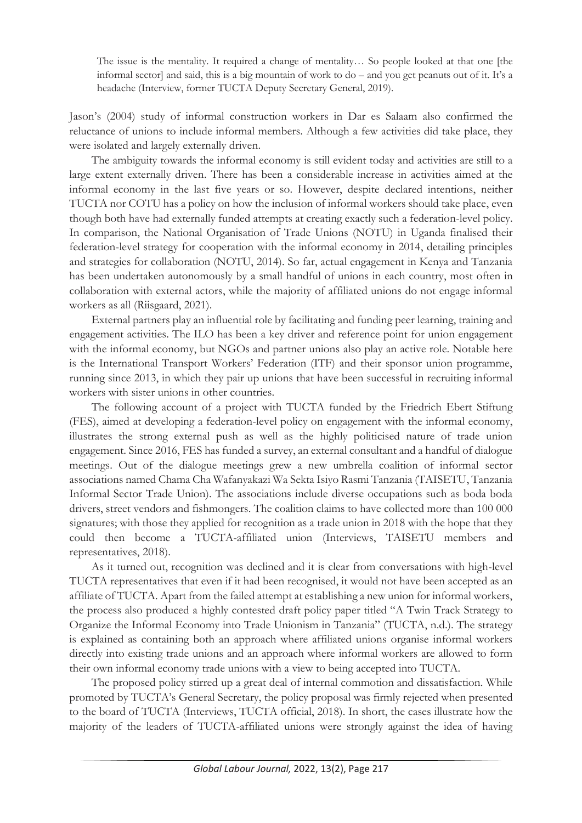The issue is the mentality. It required a change of mentality… So people looked at that one [the informal sector] and said, this is a big mountain of work to do – and you get peanuts out of it. It's a headache (Interview, former TUCTA Deputy Secretary General, 2019).

Jason's (2004) study of informal construction workers in Dar es Salaam also confirmed the reluctance of unions to include informal members. Although a few activities did take place, they were isolated and largely externally driven.

The ambiguity towards the informal economy is still evident today and activities are still to a large extent externally driven. There has been a considerable increase in activities aimed at the informal economy in the last five years or so. However, despite declared intentions, neither TUCTA nor COTU has a policy on how the inclusion of informal workers should take place, even though both have had externally funded attempts at creating exactly such a federation-level policy. In comparison, the National Organisation of Trade Unions (NOTU) in Uganda finalised their federation-level strategy for cooperation with the informal economy in 2014, detailing principles and strategies for collaboration (NOTU, 2014). So far, actual engagement in Kenya and Tanzania has been undertaken autonomously by a small handful of unions in each country, most often in collaboration with external actors, while the majority of affiliated unions do not engage informal workers as all (Riisgaard, 2021).

External partners play an influential role by facilitating and funding peer learning, training and engagement activities. The ILO has been a key driver and reference point for union engagement with the informal economy, but NGOs and partner unions also play an active role. Notable here is the International Transport Workers' Federation (ITF) and their sponsor union programme, running since 2013, in which they pair up unions that have been successful in recruiting informal workers with sister unions in other countries.

The following account of a project with TUCTA funded by the Friedrich Ebert Stiftung (FES), aimed at developing a federation-level policy on engagement with the informal economy, illustrates the strong external push as well as the highly politicised nature of trade union engagement. Since 2016, FES has funded a survey, an external consultant and a handful of dialogue meetings. Out of the dialogue meetings grew a new umbrella coalition of informal sector associations named Chama Cha Wafanyakazi Wa Sekta Isiyo Rasmi Tanzania (TAISETU, Tanzania Informal Sector Trade Union). The associations include diverse occupations such as boda boda drivers, street vendors and fishmongers. The coalition claims to have collected more than 100 000 signatures; with those they applied for recognition as a trade union in 2018 with the hope that they could then become a TUCTA-affiliated union (Interviews, TAISETU members and representatives, 2018).

As it turned out, recognition was declined and it is clear from conversations with high-level TUCTA representatives that even if it had been recognised, it would not have been accepted as an affiliate of TUCTA. Apart from the failed attempt at establishing a new union for informal workers, the process also produced a highly contested draft policy paper titled "A Twin Track Strategy to Organize the Informal Economy into Trade Unionism in Tanzania" (TUCTA, n.d.). The strategy is explained as containing both an approach where affiliated unions organise informal workers directly into existing trade unions and an approach where informal workers are allowed to form their own informal economy trade unions with a view to being accepted into TUCTA.

The proposed policy stirred up a great deal of internal commotion and dissatisfaction. While promoted by TUCTA's General Secretary, the policy proposal was firmly rejected when presented to the board of TUCTA (Interviews, TUCTA official, 2018). In short, the cases illustrate how the majority of the leaders of TUCTA-affiliated unions were strongly against the idea of having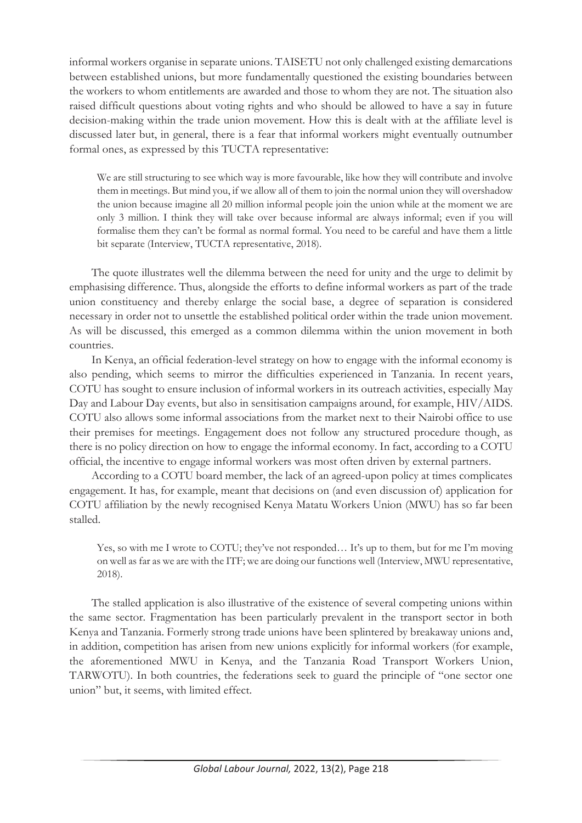informal workers organise in separate unions. TAISETU not only challenged existing demarcations between established unions, but more fundamentally questioned the existing boundaries between the workers to whom entitlements are awarded and those to whom they are not. The situation also raised difficult questions about voting rights and who should be allowed to have a say in future decision-making within the trade union movement. How this is dealt with at the affiliate level is discussed later but, in general, there is a fear that informal workers might eventually outnumber formal ones, as expressed by this TUCTA representative:

We are still structuring to see which way is more favourable, like how they will contribute and involve them in meetings. But mind you, if we allow all of them to join the normal union they will overshadow the union because imagine all 20 million informal people join the union while at the moment we are only 3 million. I think they will take over because informal are always informal; even if you will formalise them they can't be formal as normal formal. You need to be careful and have them a little bit separate (Interview, TUCTA representative, 2018).

The quote illustrates well the dilemma between the need for unity and the urge to delimit by emphasising difference. Thus, alongside the efforts to define informal workers as part of the trade union constituency and thereby enlarge the social base, a degree of separation is considered necessary in order not to unsettle the established political order within the trade union movement. As will be discussed, this emerged as a common dilemma within the union movement in both countries.

In Kenya, an official federation-level strategy on how to engage with the informal economy is also pending, which seems to mirror the difficulties experienced in Tanzania. In recent years, COTU has sought to ensure inclusion of informal workers in its outreach activities, especially May Day and Labour Day events, but also in sensitisation campaigns around, for example, HIV/AIDS. COTU also allows some informal associations from the market next to their Nairobi office to use their premises for meetings. Engagement does not follow any structured procedure though, as there is no policy direction on how to engage the informal economy. In fact, according to a COTU official, the incentive to engage informal workers was most often driven by external partners.

According to a COTU board member, the lack of an agreed-upon policy at times complicates engagement. It has, for example, meant that decisions on (and even discussion of) application for COTU affiliation by the newly recognised Kenya Matatu Workers Union (MWU) has so far been stalled.

Yes, so with me I wrote to COTU; they've not responded... It's up to them, but for me I'm moving on well as far as we are with the ITF; we are doing our functions well (Interview, MWU representative, 2018).

The stalled application is also illustrative of the existence of several competing unions within the same sector. Fragmentation has been particularly prevalent in the transport sector in both Kenya and Tanzania. Formerly strong trade unions have been splintered by breakaway unions and, in addition, competition has arisen from new unions explicitly for informal workers (for example, the aforementioned MWU in Kenya, and the Tanzania Road Transport Workers Union, TARWOTU). In both countries, the federations seek to guard the principle of "one sector one union" but, it seems, with limited effect.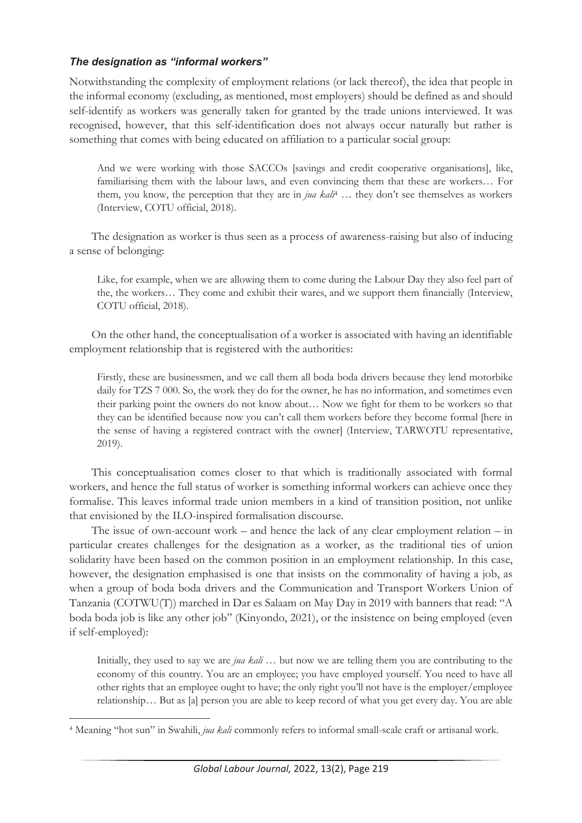## *The designation as "informal workers"*

Notwithstanding the complexity of employment relations (or lack thereof), the idea that people in the informal economy (excluding, as mentioned, most employers) should be defined as and should self-identify as workers was generally taken for granted by the trade unions interviewed. It was recognised, however, that this self-identification does not always occur naturally but rather is something that comes with being educated on affiliation to a particular social group:

And we were working with those SACCOs [savings and credit cooperative organisations], like, familiarising them with the labour laws, and even convincing them that these are workers… For them, you know, the perception that they are in *jua kali*4 … they don't see themselves as workers (Interview, COTU official, 2018).

The designation as worker is thus seen as a process of awareness-raising but also of inducing a sense of belonging:

Like, for example, when we are allowing them to come during the Labour Day they also feel part of the, the workers… They come and exhibit their wares, and we support them financially (Interview, COTU official, 2018).

On the other hand, the conceptualisation of a worker is associated with having an identifiable employment relationship that is registered with the authorities:

Firstly, these are businessmen, and we call them all boda boda drivers because they lend motorbike daily for TZS 7 000. So, the work they do for the owner, he has no information, and sometimes even their parking point the owners do not know about… Now we fight for them to be workers so that they can be identified because now you can't call them workers before they become formal [here in the sense of having a registered contract with the owner] (Interview, TARWOTU representative, 2019).

This conceptualisation comes closer to that which is traditionally associated with formal workers, and hence the full status of worker is something informal workers can achieve once they formalise. This leaves informal trade union members in a kind of transition position, not unlike that envisioned by the ILO-inspired formalisation discourse.

The issue of own-account work – and hence the lack of any clear employment relation – in particular creates challenges for the designation as a worker, as the traditional ties of union solidarity have been based on the common position in an employment relationship. In this case, however, the designation emphasised is one that insists on the commonality of having a job, as when a group of boda boda drivers and the Communication and Transport Workers Union of Tanzania (COTWU(T)) marched in Dar es Salaam on May Day in 2019 with banners that read: "A boda boda job is like any other job" (Kinyondo, 2021), or the insistence on being employed (even if self-employed):

Initially, they used to say we are *jua kali* … but now we are telling them you are contributing to the economy of this country. You are an employee; you have employed yourself. You need to have all other rights that an employee ought to have; the only right you'll not have is the employer/employee relationship… But as [a] person you are able to keep record of what you get every day. You are able

<sup>4</sup> Meaning "hot sun" in Swahili, *jua kali* commonly refers to informal small-scale craft or artisanal work.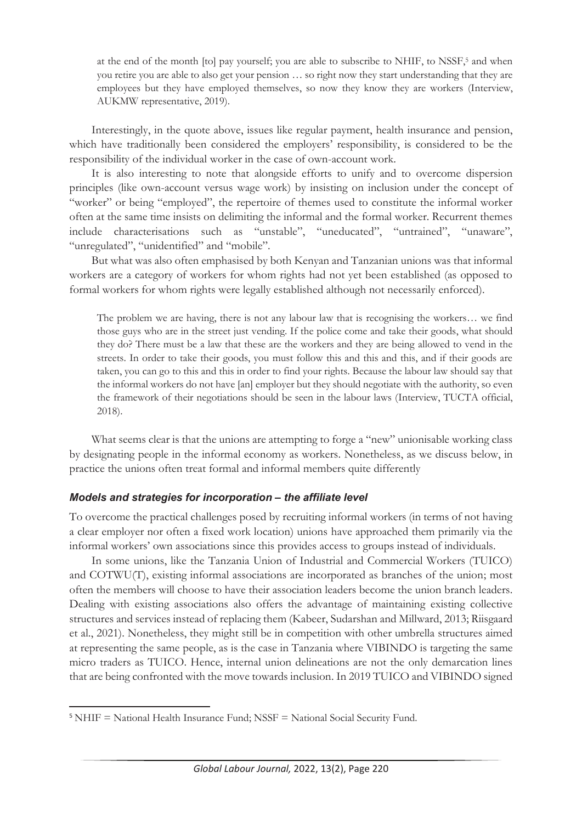at the end of the month [to] pay yourself; you are able to subscribe to NHIF, to NSSF,<sup>5</sup> and when you retire you are able to also get your pension … so right now they start understanding that they are employees but they have employed themselves, so now they know they are workers (Interview, AUKMW representative, 2019).

Interestingly, in the quote above, issues like regular payment, health insurance and pension, which have traditionally been considered the employers' responsibility, is considered to be the responsibility of the individual worker in the case of own-account work.

It is also interesting to note that alongside efforts to unify and to overcome dispersion principles (like own-account versus wage work) by insisting on inclusion under the concept of "worker" or being "employed", the repertoire of themes used to constitute the informal worker often at the same time insists on delimiting the informal and the formal worker. Recurrent themes include characterisations such as "unstable", "uneducated", "untrained", "unaware", "unregulated", "unidentified" and "mobile".

But what was also often emphasised by both Kenyan and Tanzanian unions was that informal workers are a category of workers for whom rights had not yet been established (as opposed to formal workers for whom rights were legally established although not necessarily enforced).

The problem we are having, there is not any labour law that is recognising the workers… we find those guys who are in the street just vending. If the police come and take their goods, what should they do? There must be a law that these are the workers and they are being allowed to vend in the streets. In order to take their goods, you must follow this and this and this, and if their goods are taken, you can go to this and this in order to find your rights. Because the labour law should say that the informal workers do not have [an] employer but they should negotiate with the authority, so even the framework of their negotiations should be seen in the labour laws (Interview, TUCTA official, 2018).

What seems clear is that the unions are attempting to forge a "new" unionisable working class by designating people in the informal economy as workers. Nonetheless, as we discuss below, in practice the unions often treat formal and informal members quite differently

#### *Models and strategies for incorporation – the affiliate level*

To overcome the practical challenges posed by recruiting informal workers (in terms of not having a clear employer nor often a fixed work location) unions have approached them primarily via the informal workers' own associations since this provides access to groups instead of individuals.

In some unions, like the Tanzania Union of Industrial and Commercial Workers (TUICO) and COTWU(T), existing informal associations are incorporated as branches of the union; most often the members will choose to have their association leaders become the union branch leaders. Dealing with existing associations also offers the advantage of maintaining existing collective structures and services instead of replacing them (Kabeer, Sudarshan and Millward, 2013; Riisgaard et al., 2021). Nonetheless, they might still be in competition with other umbrella structures aimed at representing the same people, as is the case in Tanzania where VIBINDO is targeting the same micro traders as TUICO. Hence, internal union delineations are not the only demarcation lines that are being confronted with the move towards inclusion. In 2019 TUICO and VIBINDO signed

<sup>5</sup> NHIF = National Health Insurance Fund; NSSF = National Social Security Fund.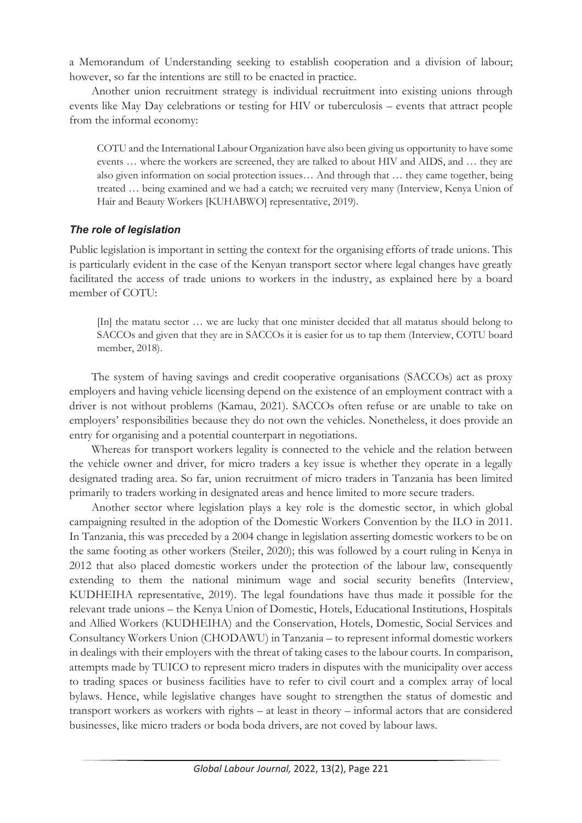a Memorandum of Understanding seeking to establish cooperation and a division of labour; however, so far the intentions are still to be enacted in practice.

Another union recruitment strategy is individual recruitment into existing unions through events like May Day celebrations or testing for HIV or tuberculosis – events that attract people from the informal economy:

COTU and the International Labour Organization have also been giving us opportunity to have some events … where the workers are screened, they are talked to about HIV and AIDS, and … they are also given information on social protection issues… And through that … they came together, being treated … being examined and we had a catch; we recruited very many (Interview, Kenya Union of Hair and Beauty Workers [KUHABWO] representative, 2019).

#### *The role of legislation*

Public legislation is important in setting the context for the organising efforts of trade unions. This is particularly evident in the case of the Kenyan transport sector where legal changes have greatly facilitated the access of trade unions to workers in the industry, as explained here by a board member of COTU:

[In] the matatu sector … we are lucky that one minister decided that all matatus should belong to SACCOs and given that they are in SACCOs it is easier for us to tap them (Interview, COTU board member, 2018).

The system of having savings and credit cooperative organisations (SACCOs) act as proxy employers and having vehicle licensing depend on the existence of an employment contract with a driver is not without problems (Kamau, 2021). SACCOs often refuse or are unable to take on employers' responsibilities because they do not own the vehicles. Nonetheless, it does provide an entry for organising and a potential counterpart in negotiations.

Whereas for transport workers legality is connected to the vehicle and the relation between the vehicle owner and driver, for micro traders a key issue is whether they operate in a legally designated trading area. So far, union recruitment of micro traders in Tanzania has been limited primarily to traders working in designated areas and hence limited to more secure traders.

Another sector where legislation plays a key role is the domestic sector, in which global campaigning resulted in the adoption of the Domestic Workers Convention by the ILO in 2011. In Tanzania, this was preceded by a 2004 change in legislation asserting domestic workers to be on the same footing as other workers (Steiler, 2020); this was followed by a court ruling in Kenya in 2012 that also placed domestic workers under the protection of the labour law, consequently extending to them the national minimum wage and social security benefits (Interview, KUDHEIHA representative, 2019). The legal foundations have thus made it possible for the relevant trade unions – the Kenya Union of Domestic, Hotels, Educational Institutions, Hospitals and Allied Workers (KUDHEIHA) and the Conservation, Hotels, Domestic, Social Services and Consultancy Workers Union (CHODAWU) in Tanzania – to represent informal domestic workers in dealings with their employers with the threat of taking cases to the labour courts. In comparison, attempts made by TUICO to represent micro traders in disputes with the municipality over access to trading spaces or business facilities have to refer to civil court and a complex array of local bylaws. Hence, while legislative changes have sought to strengthen the status of domestic and transport workers as workers with rights – at least in theory – informal actors that are considered businesses, like micro traders or boda boda drivers, are not coved by labour laws.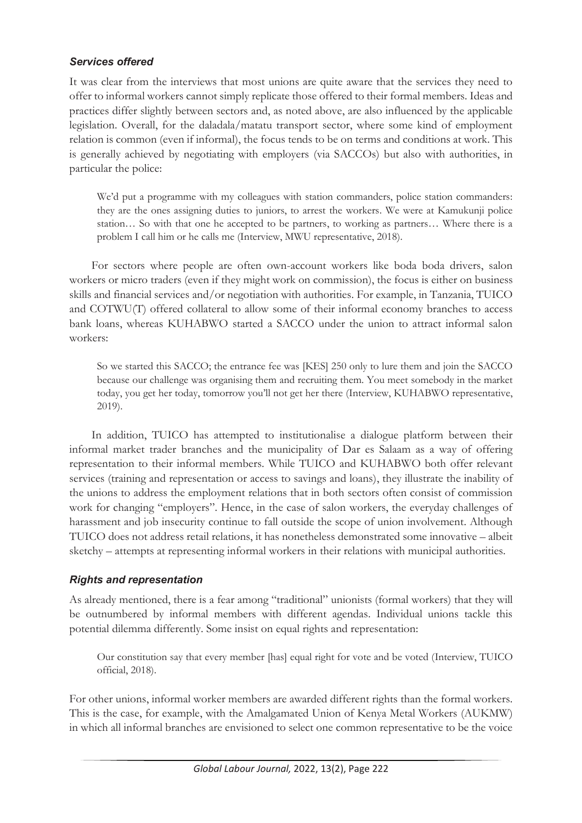#### *Services offered*

It was clear from the interviews that most unions are quite aware that the services they need to offer to informal workers cannot simply replicate those offered to their formal members. Ideas and practices differ slightly between sectors and, as noted above, are also influenced by the applicable legislation. Overall, for the daladala/matatu transport sector, where some kind of employment relation is common (even if informal), the focus tends to be on terms and conditions at work. This is generally achieved by negotiating with employers (via SACCOs) but also with authorities, in particular the police:

We'd put a programme with my colleagues with station commanders, police station commanders: they are the ones assigning duties to juniors, to arrest the workers. We were at Kamukunji police station… So with that one he accepted to be partners, to working as partners… Where there is a problem I call him or he calls me (Interview, MWU representative, 2018).

For sectors where people are often own-account workers like boda boda drivers, salon workers or micro traders (even if they might work on commission), the focus is either on business skills and financial services and/or negotiation with authorities. For example, in Tanzania, TUICO and COTWU(T) offered collateral to allow some of their informal economy branches to access bank loans, whereas KUHABWO started a SACCO under the union to attract informal salon workers:

So we started this SACCO; the entrance fee was [KES] 250 only to lure them and join the SACCO because our challenge was organising them and recruiting them. You meet somebody in the market today, you get her today, tomorrow you'll not get her there (Interview, KUHABWO representative, 2019).

In addition, TUICO has attempted to institutionalise a dialogue platform between their informal market trader branches and the municipality of Dar es Salaam as a way of offering representation to their informal members. While TUICO and KUHABWO both offer relevant services (training and representation or access to savings and loans), they illustrate the inability of the unions to address the employment relations that in both sectors often consist of commission work for changing "employers". Hence, in the case of salon workers, the everyday challenges of harassment and job insecurity continue to fall outside the scope of union involvement. Although TUICO does not address retail relations, it has nonetheless demonstrated some innovative – albeit sketchy – attempts at representing informal workers in their relations with municipal authorities.

#### *Rights and representation*

As already mentioned, there is a fear among "traditional" unionists (formal workers) that they will be outnumbered by informal members with different agendas. Individual unions tackle this potential dilemma differently. Some insist on equal rights and representation:

Our constitution say that every member [has] equal right for vote and be voted (Interview, TUICO official, 2018).

For other unions, informal worker members are awarded different rights than the formal workers. This is the case, for example, with the Amalgamated Union of Kenya Metal Workers (AUKMW) in which all informal branches are envisioned to select one common representative to be the voice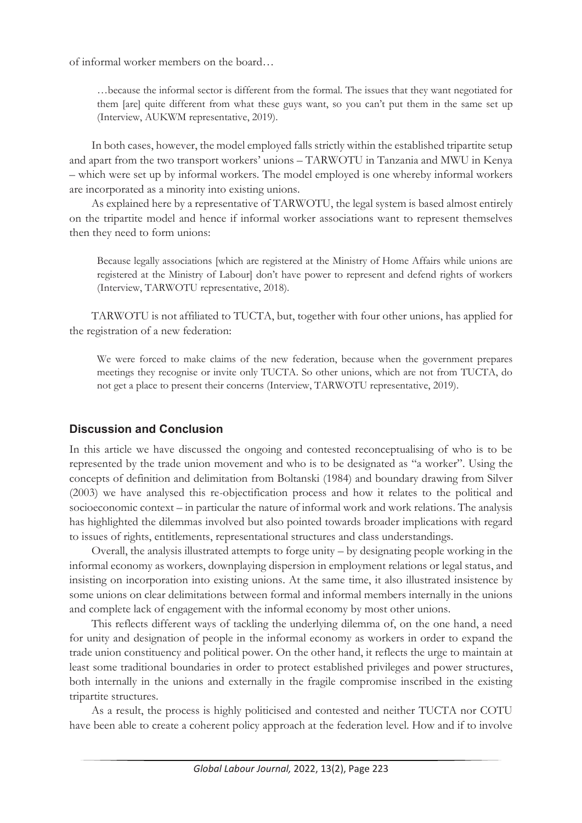of informal worker members on the board…

…because the informal sector is different from the formal. The issues that they want negotiated for them [are] quite different from what these guys want, so you can't put them in the same set up (Interview, AUKWM representative, 2019).

In both cases, however, the model employed falls strictly within the established tripartite setup and apart from the two transport workers' unions – TARWOTU in Tanzania and MWU in Kenya – which were set up by informal workers. The model employed is one whereby informal workers are incorporated as a minority into existing unions.

As explained here by a representative of TARWOTU, the legal system is based almost entirely on the tripartite model and hence if informal worker associations want to represent themselves then they need to form unions:

Because legally associations [which are registered at the Ministry of Home Affairs while unions are registered at the Ministry of Labour] don't have power to represent and defend rights of workers (Interview, TARWOTU representative, 2018).

TARWOTU is not affiliated to TUCTA, but, together with four other unions, has applied for the registration of a new federation:

We were forced to make claims of the new federation, because when the government prepares meetings they recognise or invite only TUCTA. So other unions, which are not from TUCTA, do not get a place to present their concerns (Interview, TARWOTU representative, 2019).

## **Discussion and Conclusion**

In this article we have discussed the ongoing and contested reconceptualising of who is to be represented by the trade union movement and who is to be designated as "a worker". Using the concepts of definition and delimitation from Boltanski (1984) and boundary drawing from Silver (2003) we have analysed this re-objectification process and how it relates to the political and socioeconomic context – in particular the nature of informal work and work relations. The analysis has highlighted the dilemmas involved but also pointed towards broader implications with regard to issues of rights, entitlements, representational structures and class understandings.

Overall, the analysis illustrated attempts to forge unity – by designating people working in the informal economy as workers, downplaying dispersion in employment relations or legal status, and insisting on incorporation into existing unions. At the same time, it also illustrated insistence by some unions on clear delimitations between formal and informal members internally in the unions and complete lack of engagement with the informal economy by most other unions.

This reflects different ways of tackling the underlying dilemma of, on the one hand, a need for unity and designation of people in the informal economy as workers in order to expand the trade union constituency and political power. On the other hand, it reflects the urge to maintain at least some traditional boundaries in order to protect established privileges and power structures, both internally in the unions and externally in the fragile compromise inscribed in the existing tripartite structures.

As a result, the process is highly politicised and contested and neither TUCTA nor COTU have been able to create a coherent policy approach at the federation level. How and if to involve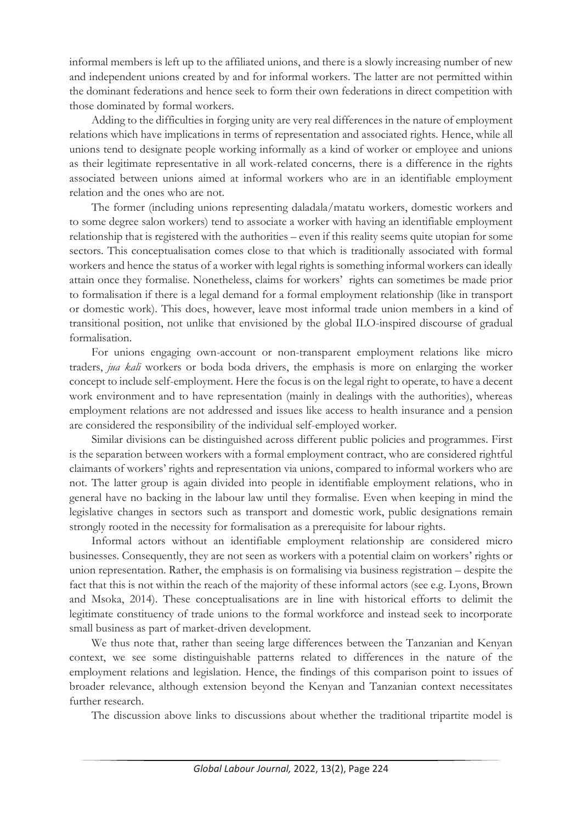informal members is left up to the affiliated unions, and there is a slowly increasing number of new and independent unions created by and for informal workers. The latter are not permitted within the dominant federations and hence seek to form their own federations in direct competition with those dominated by formal workers.

Adding to the difficulties in forging unity are very real differences in the nature of employment relations which have implications in terms of representation and associated rights. Hence, while all unions tend to designate people working informally as a kind of worker or employee and unions as their legitimate representative in all work-related concerns, there is a difference in the rights associated between unions aimed at informal workers who are in an identifiable employment relation and the ones who are not.

The former (including unions representing daladala/matatu workers, domestic workers and to some degree salon workers) tend to associate a worker with having an identifiable employment relationship that is registered with the authorities – even if this reality seems quite utopian for some sectors. This conceptualisation comes close to that which is traditionally associated with formal workers and hence the status of a worker with legal rights is something informal workers can ideally attain once they formalise. Nonetheless, claims for workers' rights can sometimes be made prior to formalisation if there is a legal demand for a formal employment relationship (like in transport or domestic work). This does, however, leave most informal trade union members in a kind of transitional position, not unlike that envisioned by the global ILO-inspired discourse of gradual formalisation.

For unions engaging own-account or non-transparent employment relations like micro traders, *jua kali* workers or boda boda drivers, the emphasis is more on enlarging the worker concept to include self-employment. Here the focus is on the legal right to operate, to have a decent work environment and to have representation (mainly in dealings with the authorities), whereas employment relations are not addressed and issues like access to health insurance and a pension are considered the responsibility of the individual self-employed worker.

Similar divisions can be distinguished across different public policies and programmes. First is the separation between workers with a formal employment contract, who are considered rightful claimants of workers' rights and representation via unions, compared to informal workers who are not. The latter group is again divided into people in identifiable employment relations, who in general have no backing in the labour law until they formalise. Even when keeping in mind the legislative changes in sectors such as transport and domestic work, public designations remain strongly rooted in the necessity for formalisation as a prerequisite for labour rights.

Informal actors without an identifiable employment relationship are considered micro businesses. Consequently, they are not seen as workers with a potential claim on workers' rights or union representation. Rather, the emphasis is on formalising via business registration – despite the fact that this is not within the reach of the majority of these informal actors (see e.g. Lyons, Brown and Msoka, 2014). These conceptualisations are in line with historical efforts to delimit the legitimate constituency of trade unions to the formal workforce and instead seek to incorporate small business as part of market-driven development.

We thus note that, rather than seeing large differences between the Tanzanian and Kenyan context, we see some distinguishable patterns related to differences in the nature of the employment relations and legislation. Hence, the findings of this comparison point to issues of broader relevance, although extension beyond the Kenyan and Tanzanian context necessitates further research.

The discussion above links to discussions about whether the traditional tripartite model is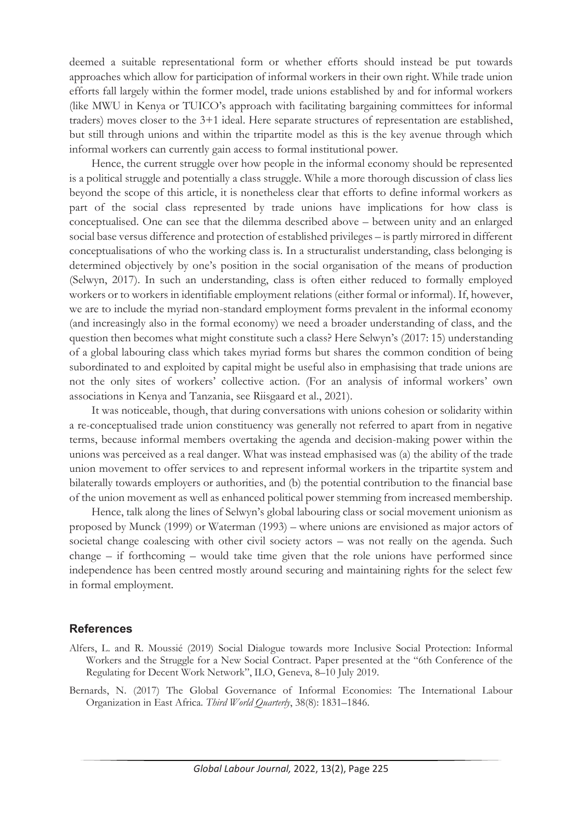deemed a suitable representational form or whether efforts should instead be put towards approaches which allow for participation of informal workers in their own right. While trade union efforts fall largely within the former model, trade unions established by and for informal workers (like MWU in Kenya or TUICO's approach with facilitating bargaining committees for informal traders) moves closer to the 3+1 ideal. Here separate structures of representation are established, but still through unions and within the tripartite model as this is the key avenue through which informal workers can currently gain access to formal institutional power.

Hence, the current struggle over how people in the informal economy should be represented is a political struggle and potentially a class struggle. While a more thorough discussion of class lies beyond the scope of this article, it is nonetheless clear that efforts to define informal workers as part of the social class represented by trade unions have implications for how class is conceptualised. One can see that the dilemma described above – between unity and an enlarged social base versus difference and protection of established privileges – is partly mirrored in different conceptualisations of who the working class is. In a structuralist understanding, class belonging is determined objectively by one's position in the social organisation of the means of production (Selwyn, 2017). In such an understanding, class is often either reduced to formally employed workers or to workers in identifiable employment relations (either formal or informal). If, however, we are to include the myriad non-standard employment forms prevalent in the informal economy (and increasingly also in the formal economy) we need a broader understanding of class, and the question then becomes what might constitute such a class? Here Selwyn's (2017: 15) understanding of a global labouring class which takes myriad forms but shares the common condition of being subordinated to and exploited by capital might be useful also in emphasising that trade unions are not the only sites of workers' collective action. (For an analysis of informal workers' own associations in Kenya and Tanzania, see Riisgaard et al., 2021).

It was noticeable, though, that during conversations with unions cohesion or solidarity within a re-conceptualised trade union constituency was generally not referred to apart from in negative terms, because informal members overtaking the agenda and decision-making power within the unions was perceived as a real danger. What was instead emphasised was (a) the ability of the trade union movement to offer services to and represent informal workers in the tripartite system and bilaterally towards employers or authorities, and (b) the potential contribution to the financial base of the union movement as well as enhanced political power stemming from increased membership.

Hence, talk along the lines of Selwyn's global labouring class or social movement unionism as proposed by Munck (1999) or Waterman (1993) – where unions are envisioned as major actors of societal change coalescing with other civil society actors – was not really on the agenda. Such  $change - if$  forthcoming  $-$  would take time given that the role unions have performed since independence has been centred mostly around securing and maintaining rights for the select few in formal employment.

#### **References**

- Alfers, L. and R. Moussié (2019) Social Dialogue towards more Inclusive Social Protection: Informal Workers and the Struggle for a New Social Contract. Paper presented at the "6th Conference of the Regulating for Decent Work Network", ILO, Geneva, 8–10 July 2019.
- Bernards, N. (2017) The Global Governance of Informal Economies: The International Labour Organization in East Africa. *Third World Quarterly*, 38(8): 1831–1846.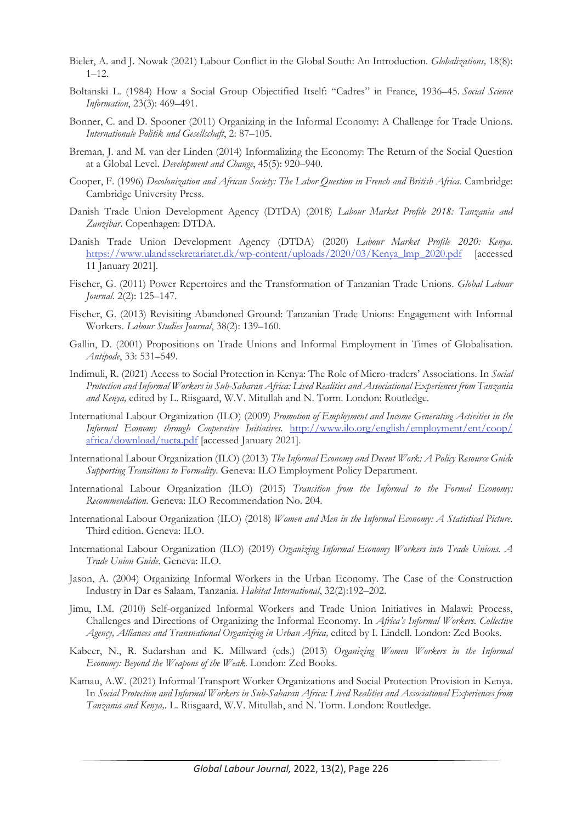- Bieler, A. and J. Nowak (2021) Labour Conflict in the Global South: An Introduction. *Globalizations,* 18(8):  $1 - 12$ .
- Boltanski L. (1984) How a Social Group Objectified Itself: "Cadres" in France, 1936–45. *Social Science Information*, 23(3): 469–491.
- Bonner, C. and D. Spooner (2011) Organizing in the Informal Economy: A Challenge for Trade Unions. *Internationale Politik und Gesellschaft*, 2: 87–105.
- Breman, J. and M. van der Linden (2014) Informalizing the Economy: The Return of the Social Question at a Global Level. *Development and Change*, 45(5): 920–940.
- Cooper, F. (1996) *Decolonization and African Society: The Labor Question in French and British Africa*. Cambridge: Cambridge University Press.
- Danish Trade Union Development Agency (DTDA) (2018) *Labour Market Profile 2018: Tanzania and Zanzibar*. Copenhagen: DTDA.
- Danish Trade Union Development Agency (DTDA) (2020) *Labour Market Profile 2020: Kenya*. https://www.ulandssekretariatet.dk/wp-content/uploads/2020/03/Kenya\_lmp\_2020.pdf [accessed 11 January 2021].
- Fischer, G. (2011) Power Repertoires and the Transformation of Tanzanian Trade Unions. *Global Labour Journal*. 2(2): 125–147.
- Fischer, G. (2013) Revisiting Abandoned Ground: Tanzanian Trade Unions: Engagement with Informal Workers. *Labour Studies Journal*, 38(2): 139–160.
- Gallin, D. (2001) Propositions on Trade Unions and Informal Employment in Times of Globalisation. *Antipode*, 33: 531–549.
- Indimuli, R. (2021) Access to Social Protection in Kenya: The Role of Micro-traders' Associations. In *Social Protection and Informal Workers in Sub-Saharan Africa: Lived Realities and Associational Experiences from Tanzania and Kenya,* edited by L. Riisgaard, W.V. Mitullah and N. Torm. London: Routledge.
- International Labour Organization (ILO) (2009) *Promotion of Employment and Income Generating Activities in the Informal Economy through Cooperative Initiatives*. http://www.ilo.org/english/employment/ent/coop/ africa/download/tucta.pdf [accessed January 2021].
- International Labour Organization (ILO) (2013) *The Informal Economy and Decent Work: A Policy Resource Guide Supporting Transitions to Formality*. Geneva: ILO Employment Policy Department.
- International Labour Organization (ILO) (2015) *Transition from the Informal to the Formal Economy: Recommendation*. Geneva: ILO Recommendation No. 204.
- International Labour Organization (ILO) (2018) *Women and Men in the Informal Economy: A Statistical Picture.* Third edition. Geneva: ILO.
- International Labour Organization (ILO) (2019) *Organizing Informal Economy Workers into Trade Unions. A Trade Union Guide*. Geneva: ILO.
- Jason, A. (2004) Organizing Informal Workers in the Urban Economy. The Case of the Construction Industry in Dar es Salaam, Tanzania. *Habitat International*, 32(2):192–202.
- Jimu, I.M. (2010) Self-organized Informal Workers and Trade Union Initiatives in Malawi: Process, Challenges and Directions of Organizing the Informal Economy. In *Africa's Informal Workers. Collective Agency, Alliances and Transnational Organizing in Urban Africa,* edited by I. Lindell. London: Zed Books.
- Kabeer, N., R. Sudarshan and K. Millward (eds.) (2013) *Organizing Women Workers in the Informal Economy: Beyond the Weapons of the Weak*. London: Zed Books.
- Kamau, A.W. (2021) Informal Transport Worker Organizations and Social Protection Provision in Kenya. In *Social Protection and Informal Workers in Sub-Saharan Africa: Lived Realities and Associational Experiences from Tanzania and Kenya,*. L. Riisgaard, W.V. Mitullah, and N. Torm. London: Routledge.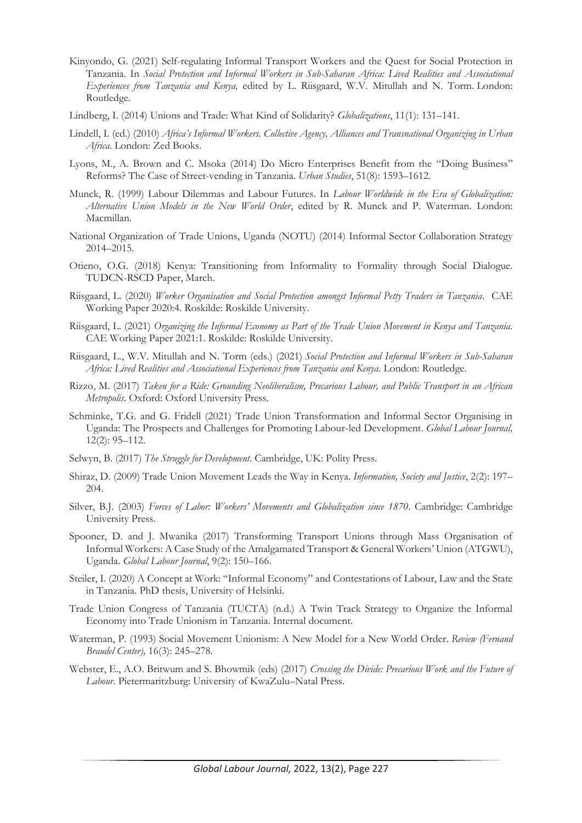- Kinyondo, G. (2021) Self-regulating Informal Transport Workers and the Quest for Social Protection in Tanzania. In *Social Protection and Informal Workers in Sub-Saharan Africa: Lived Realities and Associational Experiences from Tanzania and Kenya,* edited by L. Riisgaard, W.V. Mitullah and N. Torm. London: Routledge.
- Lindberg, I. (2014) Unions and Trade: What Kind of Solidarity? *Globalizations*, 11(1): 131–141.
- Lindell, I. (ed.) (2010) *Africa's Informal Workers. Collective Agency, Alliances and Transnational Organizing in Urban Africa*. London: Zed Books.
- Lyons, M., A. Brown and C. Msoka (2014) Do Micro Enterprises Benefit from the "Doing Business" Reforms? The Case of Street-vending in Tanzania. *Urban Studies*, 51(8): 1593–1612.
- Munck, R. (1999) Labour Dilemmas and Labour Futures. In *Labour Worldwide in the Era of Globalization: Alternative Union Models in the New World Order*, edited by R. Munck and P. Waterman. London: Macmillan.
- National Organization of Trade Unions, Uganda (NOTU) (2014) Informal Sector Collaboration Strategy 2014–2015.
- Otieno, O.G. (2018) Kenya: Transitioning from Informality to Formality through Social Dialogue. TUDCN-RSCD Paper, March.
- Riisgaard, L. (2020) *Worker Organisation and Social Protection amongst Informal Petty Traders in Tanzania*. CAE Working Paper 2020:4. Roskilde: Roskilde University.
- Riisgaard, L. (2021) *Organizing the Informal Economy as Part of the Trade Union Movement in Kenya and Tanzania*. CAE Working Paper 2021:1. Roskilde: Roskilde University.
- Riisgaard, L., W.V. Mitullah and N. Torm (eds.) (2021) *Social Protection and Informal Workers in Sub-Saharan Africa: Lived Realities and Associational Experiences from Tanzania and Kenya*. London: Routledge.
- Rizzo, M. (2017) *Taken for a Ride: Grounding Neoliberalism, Precarious Labour, and Public Transport in an African Metropolis*. Oxford: Oxford University Press.
- Schminke, T.G. and G. Fridell (2021) Trade Union Transformation and Informal Sector Organising in Uganda: The Prospects and Challenges for Promoting Labour-led Development. *Global Labour Journal,* 12(2): 95–112.
- Selwyn, B. (2017) *The Struggle for Development*. Cambridge, UK: Polity Press.
- Shiraz, D. (2009) Trade Union Movement Leads the Way in Kenya. *Information, Society and Justice*, 2(2): 197– 204.
- Silver, B.J. (2003) *Forces of Labor: Workers' Movements and Globalization since 1870*. Cambridge: Cambridge University Press.
- Spooner, D. and J. Mwanika (2017) Transforming Transport Unions through Mass Organisation of Informal Workers: A Case Study of the Amalgamated Transport & General Workers' Union (ATGWU), Uganda. *Global Labour Journal*, 9(2): 150–166.
- Steiler, I. (2020) A Concept at Work: "Informal Economy" and Contestations of Labour, Law and the State in Tanzania. PhD thesis, University of Helsinki.
- Trade Union Congress of Tanzania (TUCTA) (n.d.) A Twin Track Strategy to Organize the Informal Economy into Trade Unionism in Tanzania. Internal document.
- Waterman, P. (1993) Social Movement Unionism: A New Model for a New World Order. *Review (Fernand Braudel Center),* 16(3): 245–278.
- Webster, E., A.O. Britwum and S. Bhowmik (eds) (2017) *Crossing the Divide: Precarious Work and the Future of Labour*. Pietermaritzburg: University of KwaZulu–Natal Press.